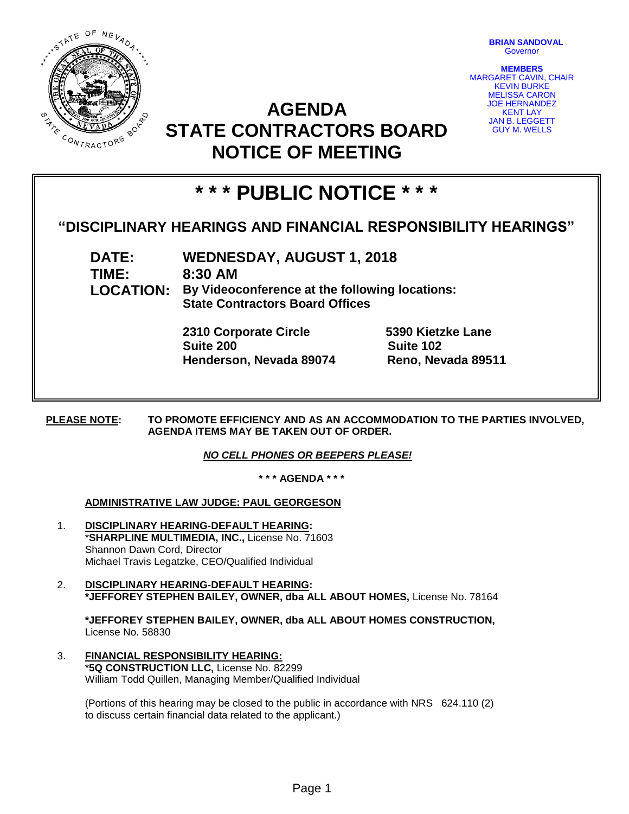

**BRIAN SANDOVAL Governor** 

**MEMBERS** MARGARET CAVIN, CHAIR KEVIN BURKE MELISSA CARON JOE HERNANDEZ KENT LAY JAN B. LEGGETT GUY M. WELLS

# **AGENDA STATE CONTRACTORS BOARD NOTICE OF MEETING**

# **\* \* \* PUBLIC NOTICE \* \* \***

# **"DISCIPLINARY HEARINGS AND FINANCIAL RESPONSIBILITY HEARINGS"**

**TIME: 8:30 AM**

**DATE: WEDNESDAY, AUGUST 1, 2018 LOCATION: By Videoconference at the following locations: State Contractors Board Offices**

> **2310 Corporate Circle 5390 Kietzke Lane Suite 200 Suite 102 Henderson, Nevada 89074 Reno, Nevada 89511**

**PLEASE NOTE: TO PROMOTE EFFICIENCY AND AS AN ACCOMMODATION TO THE PARTIES INVOLVED, AGENDA ITEMS MAY BE TAKEN OUT OF ORDER.**

## *NO CELL PHONES OR BEEPERS PLEASE!*

**\* \* \* AGENDA \* \* \***

## **ADMINISTRATIVE LAW JUDGE: PAUL GEORGESON**

- 1. **DISCIPLINARY HEARING-DEFAULT HEARING:**  \***SHARPLINE MULTIMEDIA, INC.,** License No. 71603 Shannon Dawn Cord, Director Michael Travis Legatzke, CEO/Qualified Individual
- 2. **DISCIPLINARY HEARING-DEFAULT HEARING: \*JEFFOREY STEPHEN BAILEY, OWNER, dba ALL ABOUT HOMES,** License No. 78164

**\*JEFFOREY STEPHEN BAILEY, OWNER, dba ALL ABOUT HOMES CONSTRUCTION,**  License No. 58830

3. **FINANCIAL RESPONSIBILITY HEARING:**  \***5Q CONSTRUCTION LLC,** License No. 82299 William Todd Quillen, Managing Member/Qualified Individual

(Portions of this hearing may be closed to the public in accordance with NRS 624.110 (2) to discuss certain financial data related to the applicant.)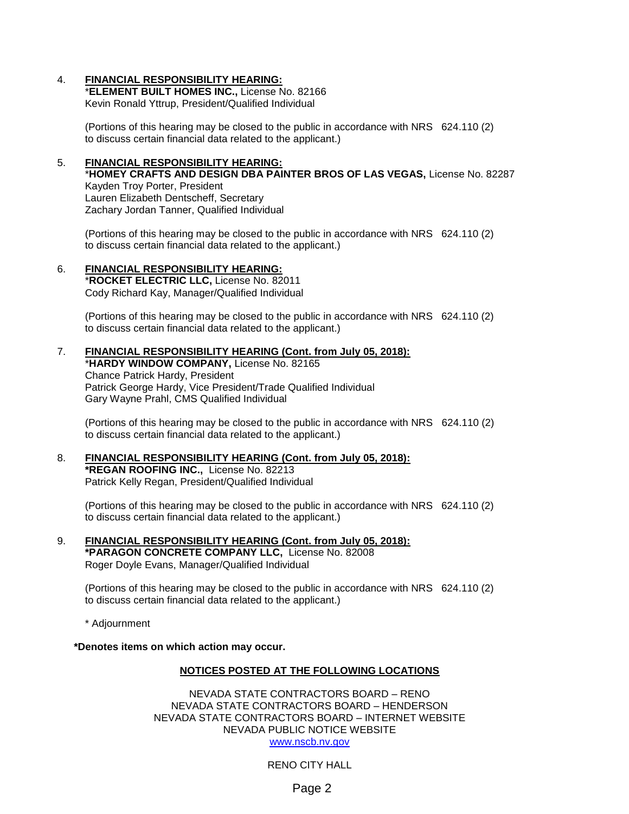#### 4. **FINANCIAL RESPONSIBILITY HEARING:**

\***ELEMENT BUILT HOMES INC.,** License No. 82166 Kevin Ronald Yttrup, President/Qualified Individual

(Portions of this hearing may be closed to the public in accordance with NRS 624.110 (2) to discuss certain financial data related to the applicant.)

#### 5. **FINANCIAL RESPONSIBILITY HEARING:**

\***HOMEY CRAFTS AND DESIGN DBA PAINTER BROS OF LAS VEGAS,** License No. 82287 Kayden Troy Porter, President Lauren Elizabeth Dentscheff, Secretary Zachary Jordan Tanner, Qualified Individual

(Portions of this hearing may be closed to the public in accordance with NRS 624.110 (2) to discuss certain financial data related to the applicant.)

6. **FINANCIAL RESPONSIBILITY HEARING:** 

\***ROCKET ELECTRIC LLC,** License No. 82011 Cody Richard Kay, Manager/Qualified Individual

(Portions of this hearing may be closed to the public in accordance with NRS 624.110 (2) to discuss certain financial data related to the applicant.)

#### 7. **FINANCIAL RESPONSIBILITY HEARING (Cont. from July 05, 2018):**

\***HARDY WINDOW COMPANY,** License No. 82165 Chance Patrick Hardy, President Patrick George Hardy, Vice President/Trade Qualified Individual Gary Wayne Prahl, CMS Qualified Individual

(Portions of this hearing may be closed to the public in accordance with NRS 624.110 (2) to discuss certain financial data related to the applicant.)

8. **FINANCIAL RESPONSIBILITY HEARING (Cont. from July 05, 2018): \*REGAN ROOFING INC.,** License No. 82213 Patrick Kelly Regan, President/Qualified Individual

(Portions of this hearing may be closed to the public in accordance with NRS 624.110 (2) to discuss certain financial data related to the applicant.)

9. **FINANCIAL RESPONSIBILITY HEARING (Cont. from July 05, 2018): \*PARAGON CONCRETE COMPANY LLC,** License No. 82008 Roger Doyle Evans, Manager/Qualified Individual

(Portions of this hearing may be closed to the public in accordance with NRS 624.110 (2) to discuss certain financial data related to the applicant.)

\* Adjournment

**\*Denotes items on which action may occur.**

#### **NOTICES POSTED AT THE FOLLOWING LOCATIONS**

NEVADA STATE CONTRACTORS BOARD – RENO NEVADA STATE CONTRACTORS BOARD – HENDERSON NEVADA STATE CONTRACTORS BOARD – INTERNET WEBSITE NEVADA PUBLIC NOTICE WEBSITE [www.nscb.nv.gov](http://www.nscb.state.nv.us/)

RENO CITY HALL